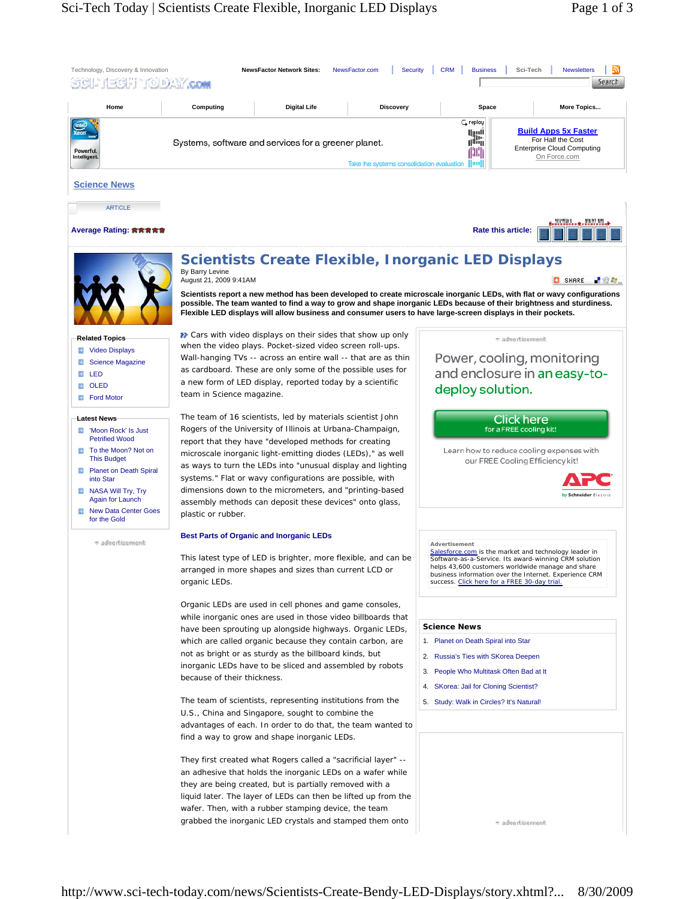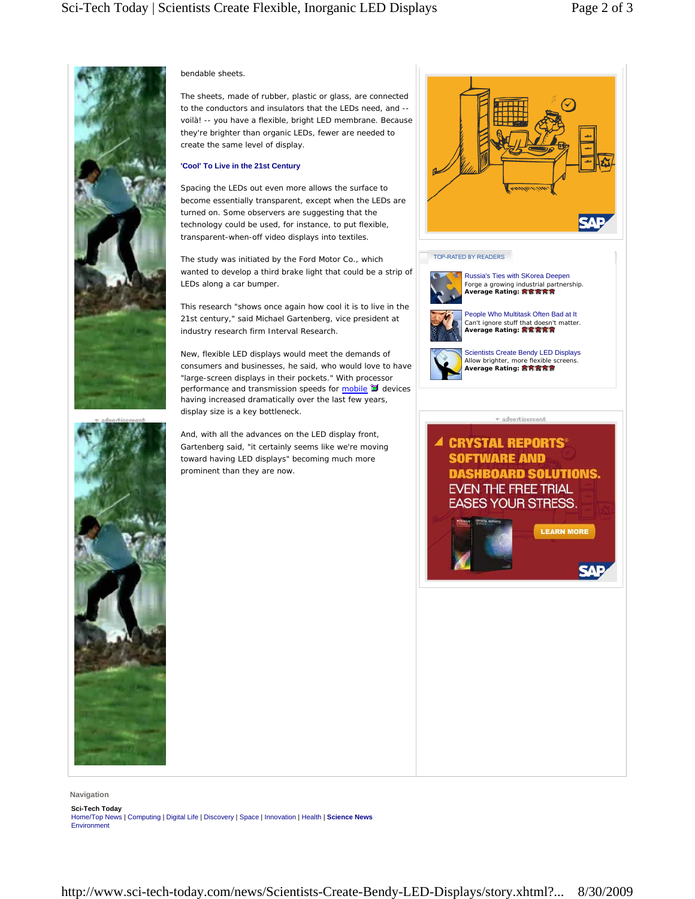₹₩.



## bendable sheets.

The sheets, made of rubber, plastic or glass, are connected to the conductors and insulators that the LEDs need, and - voilà! -- you have a flexible, bright LED membrane. Because they're brighter than organic LEDs, fewer are needed to create the same level of display.

## **'Cool' To Live in the 21st Century**

Spacing the LEDs out even more allows the surface to become essentially transparent, except when the LEDs are turned on. Some observers are suggesting that the technology could be used, for instance, to put flexible, transparent-when-off video displays into textiles.

The study was initiated by the Ford Motor Co., which wanted to develop a third brake light that could be a strip of LEDs along a car bumper.

This research "shows once again how cool it is to live in the 21st century," said Michael Gartenberg, vice president at industry research firm Interval Research.

New, flexible LED displays would meet the demands of consumers and businesses, he said, who would love to have "large-screen displays in their pockets." With processor performance and transmission speeds for mobile  $\mathbb I$  devices having increased dramatically over the last few years, display size is a key bottleneck.

And, with all the advances on the LED display front, Gartenberg said, "it certainly seems like we're moving toward having LED displays" becoming much more prominent than they are now.







**LEARN MORE** 

**SAF** 

**Navigation**

**Sci-Tech Today** Home/Top News | Computing | Digital Life | Discovery | Space | Innovation | Health | **Science News** Environment